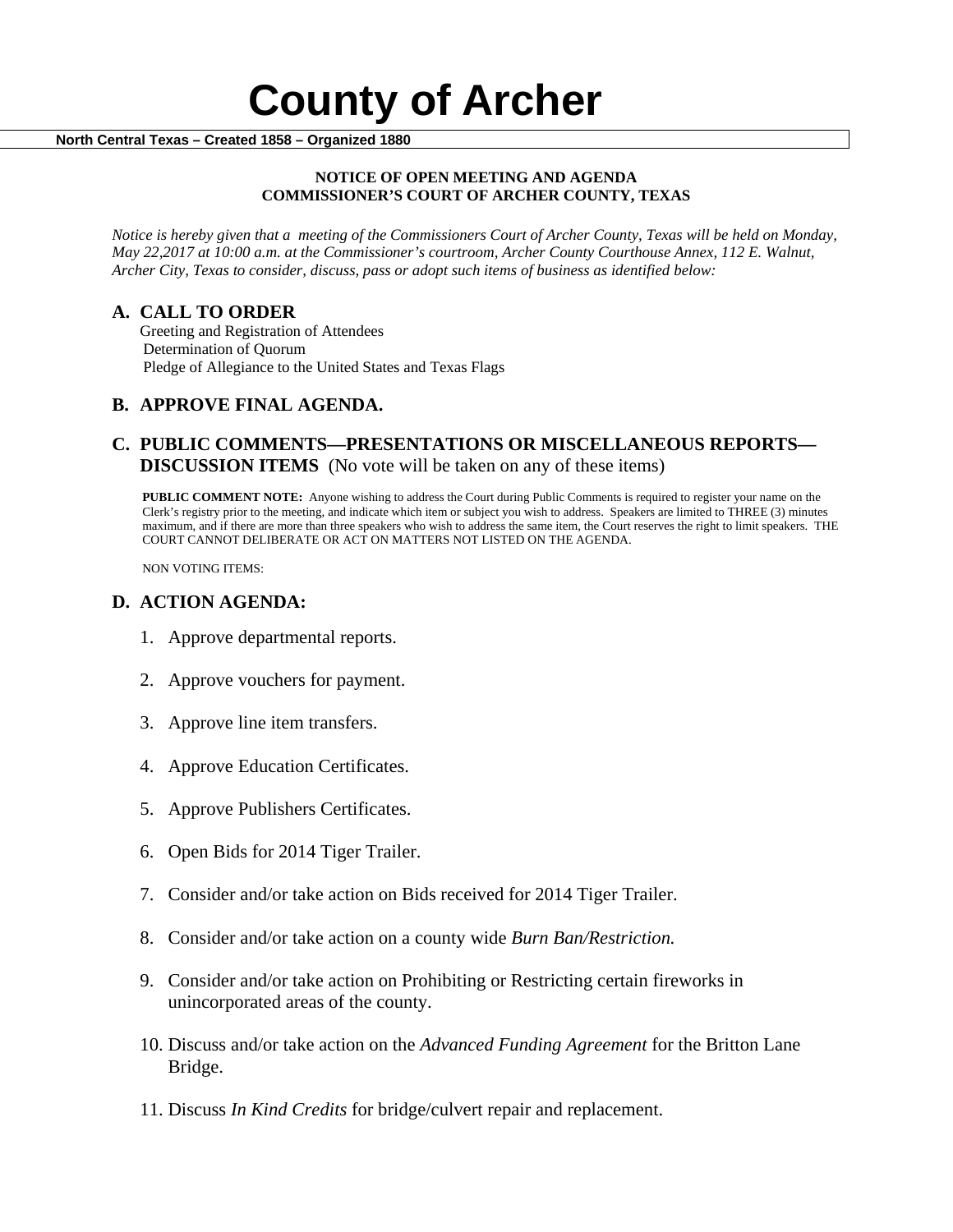# **County of Archer And County of Archer North Central Texas – Created 1858 – Organized 1880**

#### **NOTICE OF OPEN MEETING AND AGENDA COMMISSIONER'S COURT OF ARCHER COUNTY, TEXAS**

*Notice is hereby given that a meeting of the Commissioners Court of Archer County, Texas will be held on Monday, May 22,2017 at 10:00 a.m. at the Commissioner's courtroom, Archer County Courthouse Annex, 112 E. Walnut, Archer City, Texas to consider, discuss, pass or adopt such items of business as identified below:*

**A. CALL TO ORDER** Greeting and Registration of Attendees Determination of Quorum Pledge of Allegiance to the United States and Texas Flags

# **B. APPROVE FINAL AGENDA.**

# **C. PUBLIC COMMENTS—PRESENTATIONS OR MISCELLANEOUS REPORTS— DISCUSSION ITEMS** (No vote will be taken on any of these items)

**PUBLIC COMMENT NOTE:** Anyone wishing to address the Court during Public Comments is required to register your name on the Clerk's registry prior to the meeting, and indicate which item or subject you wish to address. Speakers are limited to THREE (3) minutes maximum, and if there are more than three speakers who wish to address the same item, the Court reserves the right to limit speakers. THE COURT CANNOT DELIBERATE OR ACT ON MATTERS NOT LISTED ON THE AGENDA.

NON VOTING ITEMS:

## **D. ACTION AGENDA:**

- 1. Approve departmental reports.
- 2. Approve vouchers for payment.
- 3. Approve line item transfers.
- 4. Approve Education Certificates.
- 5. Approve Publishers Certificates.
- 6. Open Bids for 2014 Tiger Trailer.
- 7. Consider and/or take action on Bids received for 2014 Tiger Trailer.
- 8. Consider and/or take action on a county wide *Burn Ban/Restriction.*
- 9. Consider and/or take action on Prohibiting or Restricting certain fireworks in unincorporated areas of the county.
- 10. Discuss and/or take action on the *Advanced Funding Agreement* for the Britton Lane Bridge.
- 11. Discuss *In Kind Credits* for bridge/culvert repair and replacement.